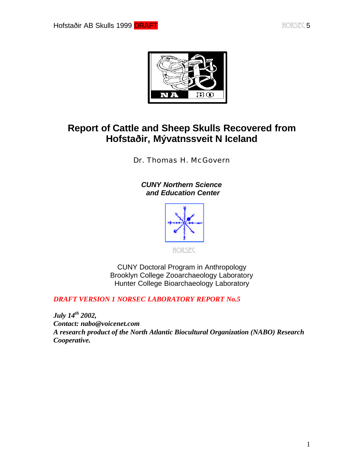

# **Report of Cattle and Sheep Skulls Recovered from Hofstaðir, Mývatnssveit N Iceland**

Dr. Thomas H. McGovern

*CUNY Northern Science and Education Center*



CUNY Doctoral Program in Anthropology Brooklyn College Zooarchaeology Laboratory Hunter College Bioarchaeology Laboratory

*DRAFT VERSION 1 NORSEC LABORATORY REPORT No.5*

*July 14th 2002, Contact: nabo@voicenet.com A research product of the North Atlantic Biocultural Organization (NABO) Research Cooperative.*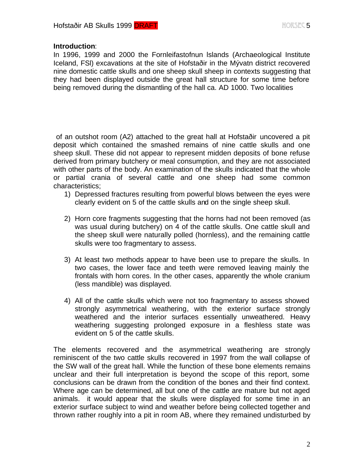#### **Introduction**:

In 1996, 1999 and 2000 the Fornleifastofnun lslands (Archaeological Institute Iceland, FSl) excavations at the site of Hofstaðir in the Mývatn district recovered nine domestic cattle skulls and one sheep skull sheep in contexts suggesting that they had been displayed outside the great hall structure for some time before being removed during the dismantling of the hall ca. AD 1000. Two localities

 of an outshot room (A2) attached to the great hall at Hofstaðir uncovered a pit deposit which contained the smashed remains of nine cattle skulls and one sheep skull. These did not appear to represent midden deposits of bone refuse derived from primary butchery or meal consumption, and they are not associated with other parts of the body. An examination of the skulls indicated that the whole or partial crania of several cattle and one sheep had some common characteristics;

- 1) Depressed fractures resulting from powerful blows between the eyes were clearly evident on 5 of the cattle skulls and on the single sheep skull.
- 2) Horn core fragments suggesting that the horns had not been removed (as was usual during butchery) on 4 of the cattle skulls. One cattle skull and the sheep skull were naturally polled (hornless), and the remaining cattle skulls were too fragmentary to assess.
- 3) At least two methods appear to have been use to prepare the skulls. In two cases, the lower face and teeth were removed leaving mainly the frontals with horn cores. In the other cases, apparently the whole cranium (less mandible) was displayed.
- 4) All of the cattle skulls which were not too fragmentary to assess showed strongly asymmetrical weathering, with the exterior surface strongly weathered and the interior surfaces essentially unweathered. Heavy weathering suggesting prolonged exposure in a fleshless state was evident on 5 of the cattle skulls.

The elements recovered and the asymmetrical weathering are strongly reminiscent of the two cattle skulls recovered in 1997 from the wall collapse of the SW wall of the great hall. While the function of these bone elements remains unclear and their full interpretation is beyond the scope of this report, some conclusions can be drawn from the condition of the bones and their find context. Where age can be determined, all but one of the cattle are mature but not aged animals. it would appear that the skulls were displayed for some time in an exterior surface subject to wind and weather before being collected together and thrown rather roughly into a pit in room AB, where they remained undisturbed by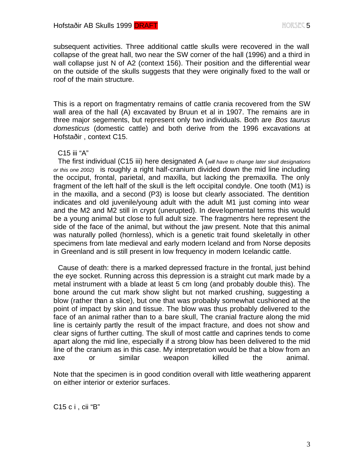subsequent activities. Three additional cattle skulls were recovered in the wall collapse of the great hall, two near the SW corner of the hall (1996) and a third in wall collapse just N of A2 (context 156). Their position and the differential wear on the outside of the skulls suggests that they were originally fixed to the wall or roof of the main structure.

This is a report on fragmentatry remains of cattle crania recovered from the SW wall area of the hall (A) excavated by Bruun et al in 1907. The remains are in three major segements, but represent only two individuals. Both are *Bos taurus domesticus* (domestic cattle) and both derive from the 1996 excavations at Hofstaðir , context C15.

#### C15 iii "A"

 The first individual (C15 iii) here designated A (*will have to change later skull designations or this one 2002)* is roughly a right half-cranium divided down the mid line including the occiput, frontal, parietal, and maxilla, but lacking the premaxilla. The only fragment of the left half of the skull is the left occipital condyle. One tooth (M1) is in the maxilla, and a second (P3) is loose but clearly associated. The dentition indicates and old juvenile/young adult with the adult M1 just coming into wear and the M2 and M2 still in crypt (unerupted). In developmental terms this would be a young animal but close to full adult size. The fragmentrs here represent the side of the face of the animal, but without the jaw present. Note that this animal was naturally polled (hornless), which is a genetic trait found skeletally in other specimens from late medieval and early modern Iceland and from Norse deposits in Greenland and is still present in low frequency in modern Icelandic cattle.

 Cause of death: there is a marked depressed fracture in the frontal, just behind the eye socket. Running across this depression is a straight cut mark made by a metal instrument with a blade at least 5 cm long (and probably double this). The bone around the cut mark show slight but not marked crushing, suggesting a blow (rather than a slice), but one that was probably somewhat cushioned at the point of impact by skin and tissue. The blow was thus probably delivered to the face of an animal rather than to a bare skull, The cranial fracture along the mid line is certainly partly the result of the impact fracture, and does not show and clear signs of further cutting. The skull of most cattle and caprines tends to come apart along the mid line, especially if a strong blow has been delivered to the mid line of the cranium as in this case. My interpretation would be that a blow from an axe or similar weapon killed the animal.

Note that the specimen is in good condition overall with little weathering apparent on either interior or exterior surfaces.

C15 c i , cii "B"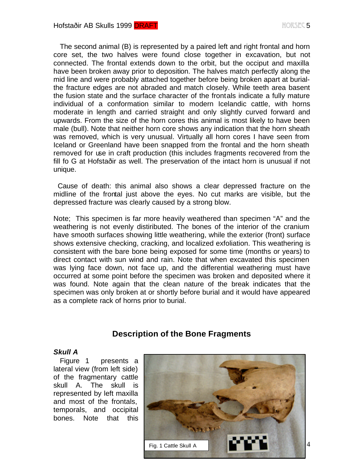The second animal (B) is represented by a paired left and right frontal and horn core set, the two halves were found close together in excavation, but not connected. The frontal extends down to the orbit, but the occiput and maxilla have been broken away prior to deposition. The halves match perfectly along the mid line and were probably attached together before being broken apart at burialthe fracture edges are not abraded and match closely. While teeth area basent the fusion state and the surface character of the frontals indicate a fully mature individual of a conformation similar to modern Icelandic cattle, with horns moderate in length and carried straight and only slightly curved forward and upwards. From the size of the horn cores this animal is most likely to have been male (bull). Note that neither horn core shows any indication that the horn sheath was removed, which is very unusual. Virtually all horn cores I have seen from Iceland or Greenland have been snapped from the frontal and the horn sheath removed for use in craft production (this includes fragments recovered from the fill fo G at Hofstaðir as well. The preservation of the intact horn is unusual if not unique.

 Cause of death: this animal also shows a clear depressed fracture on the midline of the frontal just above the eyes. No cut marks are visible, but the depressed fracture was clearly caused by a strong blow.

Note; This specimen is far more heavily weathered than specimen "A" and the weathering is not evenly distiributed. The bones of the interior of the cranium have smooth surfaces showing little weathering, while the exterior (front) surface shows extensive checking, cracking, and localized exfoliation. This weathering is consistent with the bare bone being exposed for some time (months or years) to direct contact with sun wind and rain. Note that when excavated this specimen was lying face down, not face up, and the differential weathering must have occurred at some point before the specimen was broken and deposited where it was found. Note again that the clean nature of the break indicates that the specimen was only broken at or shortly before burial and it would have appeared as a complete rack of horns prior to burial.

# **Description of the Bone Fragments**

### *Skull A*

 Figure 1 presents a lateral view (from left side) of the fragmentary cattle skull A. The skull is represented by left maxilla and most of the frontals, temporals, and occipital bones. Note that this

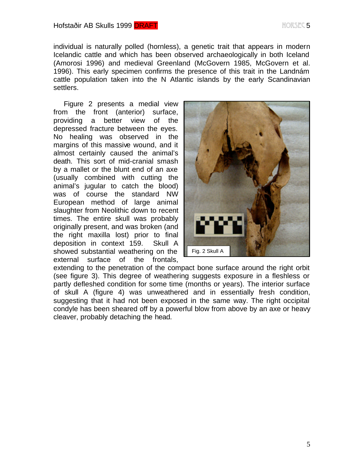individual is naturally polled (hornless), a genetic trait that appears in modern Icelandic cattle and which has been observed archaeologically in both Iceland (Amorosi 1996) and medieval Greenland (McGovern 1985, McGovern et al. 1996). This early specimen confirms the presence of this trait in the Landnám cattle population taken into the N Atlantic islands by the early Scandinavian settlers.

 Figure 2 presents a medial view from the front (anterior) surface, providing a better view of the depressed fracture between the eyes. No healing was observed in the margins of this massive wound, and it almost certainly caused the animal's death. This sort of mid-cranial smash by a mallet or the blunt end of an axe (usually combined with cutting the animal's jugular to catch the blood) was of course the standard NW European method of large animal slaughter from Neolithic down to recent times. The entire skull was probably originally present, and was broken (and the right maxilla lost) prior to final deposition in context 159. Skull A showed substantial weathering on the external surface of the frontals,



extending to the penetration of the compact bone surface around the right orbit (see figure 3). This degree of weathering suggests exposure in a fleshless or partly defleshed condition for some time (months or years). The interior surface of skull A (figure 4) was unweathered and in essentially fresh condition, suggesting that it had not been exposed in the same way. The right occipital condyle has been sheared off by a powerful blow from above by an axe or heavy cleaver, probably detaching the head.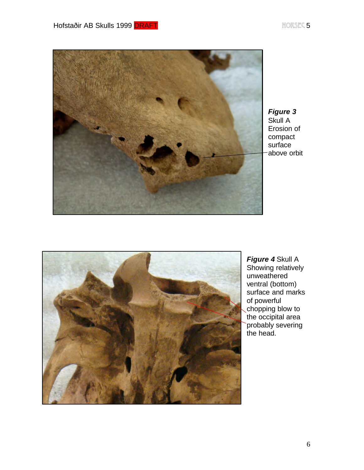Hofstaðir AB Skulls 1999 DRAFT NEITHEAD AN DEAST NORSEC 5



*Figure 3* Skull A Erosion of compact surface above orbit



*Figure 4* Skull A Showing relatively unweathered ventral (bottom) surface and marks of powerful chopping blow to the occipital area probably severing the head.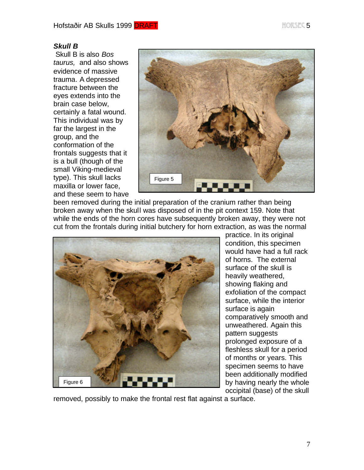## *Skull B*

 Skull B is also *Bos taurus,* and also shows evidence of massive trauma. A depressed fracture between the eyes extends into the brain case below, certainly a fatal wound. This individual was by far the largest in the group, and the conformation of the frontals suggests that it is a bull (though of the small Viking-medieval type). This skull lacks maxilla or lower face, and these seem to have



been removed during the initial preparation of the cranium rather than being broken away when the skull was disposed of in the pit context 159. Note that while the ends of the horn cores have subsequently broken away, they were not cut from the frontals during initial butchery for horn extraction, as was the normal



practice. In its original condition, this specimen would have had a full rack of horns. The external surface of the skull is heavily weathered, showing flaking and exfoliation of the compact surface, while the interior surface is again comparatively smooth and unweathered. Again this pattern suggests prolonged exposure of a fleshless skull for a period of months or years. This specimen seems to have been additionally modified by having nearly the whole occipital (base) of the skull

removed, possibly to make the frontal rest flat against a surface.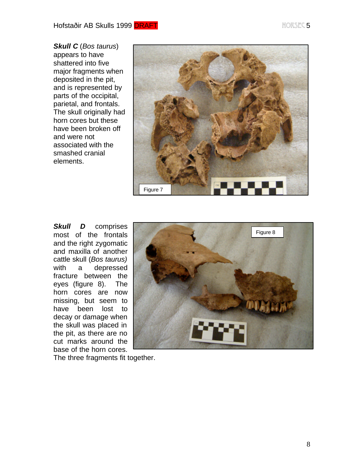*Skull C* (*Bos taurus*) appears to have shattered into five major fragments when deposited in the pit, and is represented by parts of the occipital, parietal, and frontals. The skull originally had horn cores but these have been broken off and were not associated with the smashed cranial elements.



**Skull D** comprises most of the frontals and the right zygomatic and maxilla of another cattle skull (*Bos taurus)* with a depressed fracture between the eyes (figure 8). The horn cores are now missing, but seem to have been lost to decay or damage when the skull was placed in the pit, as there are no cut marks around the base of the horn cores.



The three fragments fit together.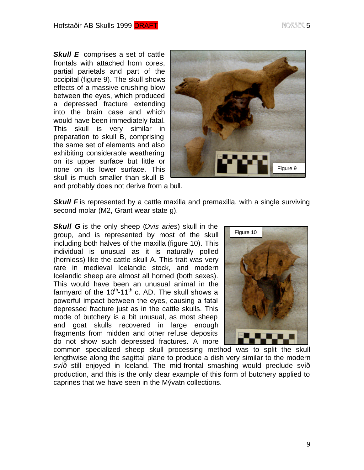*Skull E* comprises a set of cattle frontals with attached horn cores, partial parietals and part of the occipital (figure 9). The skull shows effects of a massive crushing blow between the eyes, which produced a depressed fracture extending into the brain case and which would have been immediately fatal. This skull is very similar in preparation to skull B, comprising the same set of elements and also exhibiting considerable weathering on its upper surface but little or none on its lower surface. This skull is much smaller than skull B



and probably does not derive from a bull.

**Skull F** is represented by a cattle maxilla and premaxilla, with a single surviving second molar (M2, Grant wear state g).

*Skull G* is the only sheep (*Ovis aries*) skull in the group, and is represented by most of the skull including both halves of the maxilla (figure 10). This individual is unusual as it is naturally polled (hornless) like the cattle skull A. This trait was very rare in medieval Icelandic stock, and modern Icelandic sheep are almost all horned (both sexes). This would have been an unusual animal in the farmyard of the  $10^{\text{th}}$ -11<sup>th</sup> c. AD. The skull shows a powerful impact between the eyes, causing a fatal depressed fracture just as in the cattle skulls. This mode of butchery is a bit unusual, as most sheep and goat skulls recovered in large enough fragments from midden and other refuse deposits do not show such depressed fractures. A more



common specialized sheep skull processing method was to split the skull lengthwise along the sagittal plane to produce a dish very similar to the modern *svíð* still enjoyed in Iceland. The mid-frontal smashing would preclude svíð production, and this is the only clear example of this form of butchery applied to caprines that we have seen in the Mývatn collections.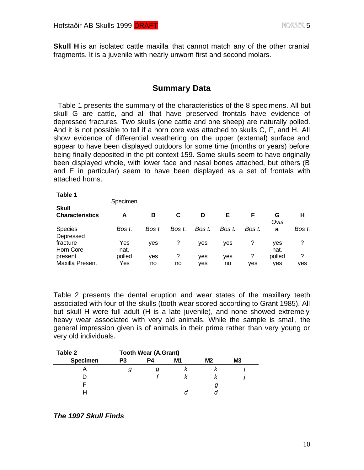**Skull H** is an isolated cattle maxilla that cannot match any of the other cranial fragments. It is a juvenile with nearly unworn first and second molars.

# **Summary Data**

 Table 1 presents the summary of the characteristics of the 8 specimens. All but skull G are cattle, and all that have preserved frontals have evidence of depressed fractures. Two skulls (one cattle and one sheep) are naturally polled. And it is not possible to tell if a horn core was attached to skulls C, F, and H. All show evidence of differential weathering on the upper (external) surface and appear to have been displayed outdoors for some time (months or years) before being finally deposited in the pit context 159. Some skulls seem to have originally been displayed whole, with lower face and nasal bones attached, but others (B and E in particular) seem to have been displayed as a set of frontals with attached horns.

| Table 1                |          |        |        |        |        |        |        |        |
|------------------------|----------|--------|--------|--------|--------|--------|--------|--------|
|                        | Specimen |        |        |        |        |        |        |        |
| <b>Skull</b>           |          |        |        |        |        |        |        |        |
| <b>Characteristics</b> | А        | в      | C      | D      | Е      | F      | G      | н      |
|                        |          |        |        |        |        |        | Ovis   |        |
| <b>Species</b>         | Bos t.   | Bos t. | Bos t. | Bos t. | Bos t. | Bos t. | a.     | Bos t. |
| Depressed              |          |        |        |        |        |        |        |        |
| fracture               | Yes      | yes    | ?      | yes    | yes    | ?      | yes    | ?      |
| Horn Core              | nat.     |        |        |        |        |        | nat.   |        |
| present                | polled   | yes    | ?      | yes    | yes    | ?      | polled | ?      |
| Maxilla Present        | Yes      | no     | no     | yes    | no     | yes    | yes    | yes    |

Table 2 presents the dental eruption and wear states of the maxillary teeth associated with four of the skulls (tooth wear scored according to Grant 1985). All but skull H were full adult (H is a late juvenile), and none showed extremely heavy wear associated with very old animals. While the sample is small, the general impression given is of animals in their prime rather than very young or very old individuals.

| Table 2         | <b>Tooth Wear (A.Grant)</b> |    |    |    |    |  |  |
|-----------------|-----------------------------|----|----|----|----|--|--|
| <b>Specimen</b> | P <sub>3</sub>              | P4 | M1 | M2 | M3 |  |  |
|                 | y                           |    |    |    |    |  |  |
|                 |                             |    |    |    |    |  |  |
|                 |                             |    |    |    |    |  |  |
|                 |                             |    |    |    |    |  |  |

#### *The 1997 Skull Finds*